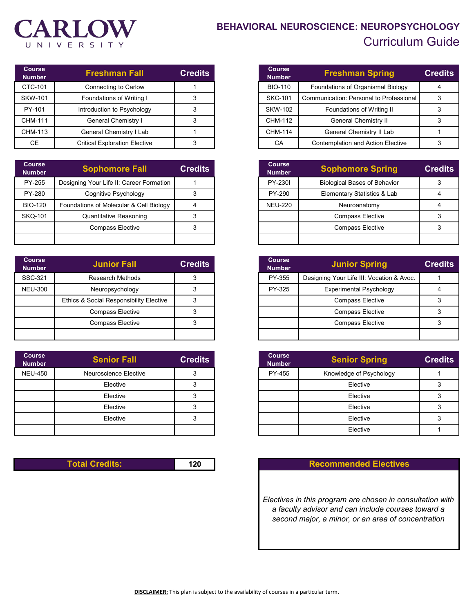## CARLOW UNIVERSITY

## **BEHAVIORAL NEUROSCIENCE: NEUROPSYCHOLOGY** Curriculum Guide

| Course<br><b>Number</b> | <b>Freshman Fall</b>                 | <b>Credits</b> |
|-------------------------|--------------------------------------|----------------|
| CTC-101                 | Connecting to Carlow                 |                |
| <b>SKW-101</b>          | Foundations of Writing I             |                |
| PY-101                  | Introduction to Psychology           |                |
| CHM-111                 | General Chemistry I                  |                |
| CHM-113                 | General Chemistry I Lab              |                |
| <b>CE</b>               | <b>Critical Exploration Elective</b> | 3              |

| <b>Course</b><br><b>Number</b> | <b>Sophomore Fall</b>                    | <b>Credits</b> |
|--------------------------------|------------------------------------------|----------------|
| PY-255                         | Designing Your Life II: Career Formation |                |
| PY-280                         | Cognitive Psychology                     |                |
| <b>BIO-120</b>                 | Foundations of Molecular & Cell Biology  |                |
| <b>SKQ-101</b>                 | Quantitative Reasoning                   |                |
|                                | <b>Compass Elective</b>                  |                |
|                                |                                          |                |

| <b>Course</b><br><b>Number</b> | <b>Junior Fall</b>                      | <b>Credits</b> |
|--------------------------------|-----------------------------------------|----------------|
| SSC-321                        | Research Methods                        |                |
| <b>NEU-300</b>                 | Neuropsychology                         |                |
|                                | Ethics & Social Responsibility Elective |                |
|                                | <b>Compass Elective</b>                 |                |
|                                | <b>Compass Elective</b>                 | 3              |
|                                |                                         |                |

| <b>Course</b><br><b>Number</b> | <b>Senior Fall</b>    | <b>Credits</b> |
|--------------------------------|-----------------------|----------------|
| <b>NEU-450</b>                 | Neuroscience Elective |                |
|                                | Elective              |                |
|                                | Elective              |                |
|                                | Elective              |                |
|                                | Elective              |                |
|                                |                       |                |

| <b>Course</b><br><b>Number</b> | <b>Freshman Spring</b>                   | <b>Credits</b> |
|--------------------------------|------------------------------------------|----------------|
| <b>BIO-110</b>                 | Foundations of Organismal Biology        |                |
| <b>SKC-101</b>                 | Communication: Personal to Professional  |                |
| <b>SKW-102</b>                 | Foundations of Writing II                |                |
| CHM-112                        | <b>General Chemistry II</b>              |                |
| <b>CHM-114</b>                 | General Chemistry II Lab                 |                |
| СA                             | <b>Contemplation and Action Elective</b> |                |

| ophomore Fall                  | <b>Credits</b> | <b>Course</b><br><b>Number</b> | <b>Sophomore Spring</b>             | <b>Credits</b> |
|--------------------------------|----------------|--------------------------------|-------------------------------------|----------------|
| Your Life II: Career Formation |                | <b>PY-2301</b>                 | <b>Biological Bases of Behavior</b> |                |
| ognitive Psychology            |                | PY-290                         | Elementary Statistics & Lab         |                |
| is of Molecular & Cell Biology |                | <b>NEU-220</b>                 | Neuroanatomy                        |                |
| antitative Reasoning           |                |                                | <b>Compass Elective</b>             |                |
| Compass Elective               |                |                                | <b>Compass Elective</b>             |                |
|                                |                |                                |                                     |                |

| <b>Junior Fall</b>                      | <b>Credits</b> | <b>Course</b><br><b>Number</b> | <b>Junior Spring</b>                      | <b>Credits</b> |
|-----------------------------------------|----------------|--------------------------------|-------------------------------------------|----------------|
| Research Methods                        |                | PY-355                         | Designing Your Life III: Vocation & Avoc. |                |
| Neuropsychology                         |                | PY-325                         | <b>Experimental Psychology</b>            |                |
| Ethics & Social Responsibility Elective |                |                                | <b>Compass Elective</b>                   |                |
| <b>Compass Elective</b>                 |                |                                | <b>Compass Elective</b>                   |                |
| <b>Compass Elective</b>                 |                |                                | <b>Compass Elective</b>                   |                |
|                                         |                |                                |                                           |                |

| nior Fall       | <b>Credits</b> | <b>Course</b><br><b>Number</b> | <b>Senior Spring</b>    | <b>Credits</b> |
|-----------------|----------------|--------------------------------|-------------------------|----------------|
| cience Elective |                | PY-455                         | Knowledge of Psychology |                |
| Elective        |                |                                | Elective                |                |
| Elective        |                |                                | Elective                |                |
| Elective        | 3              |                                | Elective                |                |
| Elective        | 3              |                                | Elective                |                |
|                 |                |                                | Elective                |                |

## **120 Recommended Electives**

*Electives in this program are chosen in consultation with a faculty advisor and can include courses toward a second major, a minor, or an area of concentration*